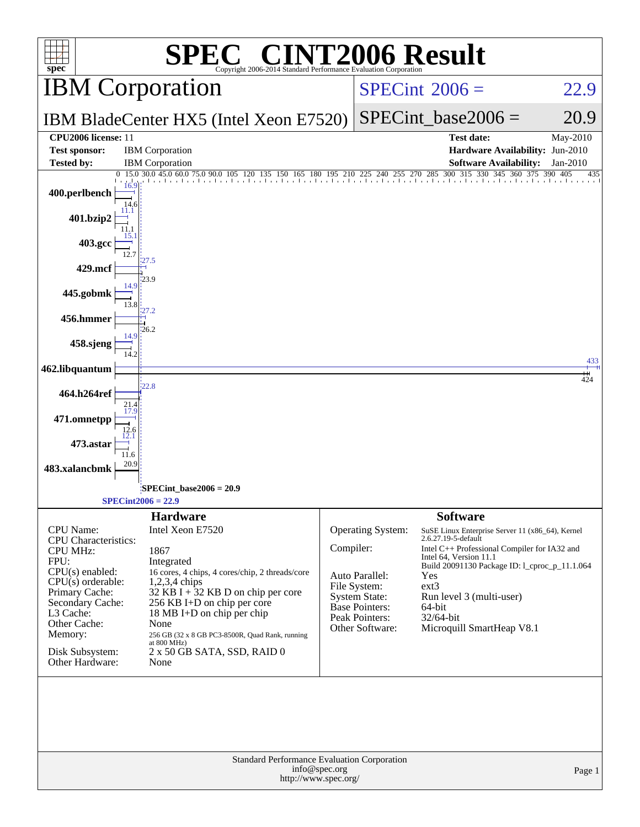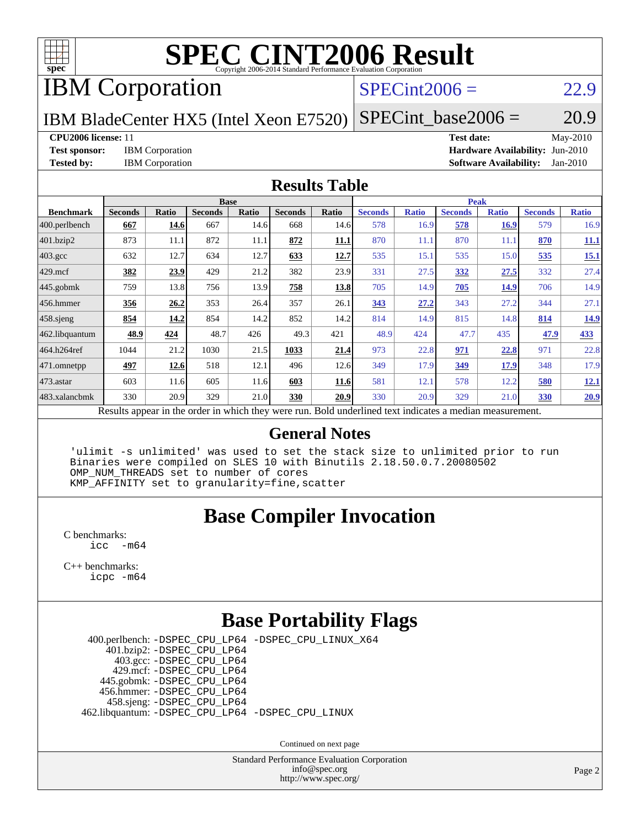

IBM Corporation

#### $SPECint2006 = 22.9$  $SPECint2006 = 22.9$

IBM BladeCenter HX5 (Intel Xeon E7520)  $SPECTnt\_base2006 = 20.9$ 

**[CPU2006 license:](http://www.spec.org/auto/cpu2006/Docs/result-fields.html#CPU2006license)** 11 **[Test date:](http://www.spec.org/auto/cpu2006/Docs/result-fields.html#Testdate)** May-2010 **[Test sponsor:](http://www.spec.org/auto/cpu2006/Docs/result-fields.html#Testsponsor)** IBM Corporation **[Hardware Availability:](http://www.spec.org/auto/cpu2006/Docs/result-fields.html#HardwareAvailability)** Jun-2010 **[Tested by:](http://www.spec.org/auto/cpu2006/Docs/result-fields.html#Testedby)** IBM Corporation **[Software Availability:](http://www.spec.org/auto/cpu2006/Docs/result-fields.html#SoftwareAvailability)** Jan-2010

#### **[Results Table](http://www.spec.org/auto/cpu2006/Docs/result-fields.html#ResultsTable)**

|                    | <b>Base</b>                                                                                              |       |                |       |                |       | <b>Peak</b>    |              |                |              |                |              |  |
|--------------------|----------------------------------------------------------------------------------------------------------|-------|----------------|-------|----------------|-------|----------------|--------------|----------------|--------------|----------------|--------------|--|
| <b>Benchmark</b>   | <b>Seconds</b>                                                                                           | Ratio | <b>Seconds</b> | Ratio | <b>Seconds</b> | Ratio | <b>Seconds</b> | <b>Ratio</b> | <b>Seconds</b> | <b>Ratio</b> | <b>Seconds</b> | <b>Ratio</b> |  |
| 400.perlbench      | 667                                                                                                      | 14.6  | 667            | 14.6  | 668            | 14.6  | 578            | 16.9         | 578            | <b>16.9</b>  | 579            | 16.9         |  |
| 401.bzip2          | 873                                                                                                      | 11.1  | 872            | 11.1  | 872            | 11.1  | 870            | 11.1         | 870            | 11.1         | 870            | 11.1         |  |
| $403.\mathrm{gcc}$ | 632                                                                                                      | 12.7  | 634            | 12.7  | 633            | 12.7  | 535            | 15.1         | 535            | 15.0         | 535            | 15.1         |  |
| $429$ mcf          | 382                                                                                                      | 23.9  | 429            | 21.2  | 382            | 23.9  | 331            | 27.5         | 332            | 27.5         | 332            | 27.4         |  |
| $445$ .gobmk       | 759                                                                                                      | 13.8  | 756            | 13.9  | 758            | 13.8  | 705            | 14.9         | 705            | <u>14.9</u>  | 706            | 14.9         |  |
| $ 456$ .hmmer      | 356                                                                                                      | 26.2  | 353            | 26.4  | 357            | 26.1  | 343            | 27.2         | 343            | 27.2         | 344            | 27.1         |  |
| $458$ .sjeng       | 854                                                                                                      | 14.2  | 854            | 14.2  | 852            | 14.2  | 814            | 14.9         | 815            | 14.8         | 814            | 14.9         |  |
| 462.libquantum     | 48.9                                                                                                     | 424   | 48.7           | 426   | 49.3           | 421   | 48.9           | 424          | 47.7           | 435          | 47.9           | 433          |  |
| 464.h264ref        | 1044                                                                                                     | 21.2  | 1030           | 21.5  | 1033           | 21.4  | 973            | 22.8         | 971            | 22.8         | 971            | 22.8         |  |
| $ 471$ .omnetpp    | 497                                                                                                      | 12.6  | 518            | 12.1  | 496            | 12.6  | 349            | 17.9         | 349            | 17.9         | 348            | 17.9         |  |
| $473$ . astar      | 603                                                                                                      | 11.6  | 605            | 11.6  | 603            | 11.6  | 581            | 12.1         | 578            | 12.2         | 580            | 12.1         |  |
| 483.xalancbmk      | 330                                                                                                      | 20.9  | 329            | 21.0  | 330            | 20.9  | 330            | 20.9         | 329            | 21.0         | 330            | 20.9         |  |
|                    | Results appear in the order in which they were run. Bold underlined text indicates a median measurement. |       |                |       |                |       |                |              |                |              |                |              |  |

#### **[General Notes](http://www.spec.org/auto/cpu2006/Docs/result-fields.html#GeneralNotes)**

 'ulimit -s unlimited' was used to set the stack size to unlimited prior to run Binaries were compiled on SLES 10 with Binutils 2.18.50.0.7.20080502 OMP\_NUM\_THREADS set to number of cores KMP\_AFFINITY set to granularity=fine,scatter

#### **[Base Compiler Invocation](http://www.spec.org/auto/cpu2006/Docs/result-fields.html#BaseCompilerInvocation)**

[C benchmarks](http://www.spec.org/auto/cpu2006/Docs/result-fields.html#Cbenchmarks): [icc -m64](http://www.spec.org/cpu2006/results/res2010q3/cpu2006-20100914-13305.flags.html#user_CCbase_intel_icc_64bit_f346026e86af2a669e726fe758c88044)

[C++ benchmarks:](http://www.spec.org/auto/cpu2006/Docs/result-fields.html#CXXbenchmarks) [icpc -m64](http://www.spec.org/cpu2006/results/res2010q3/cpu2006-20100914-13305.flags.html#user_CXXbase_intel_icpc_64bit_fc66a5337ce925472a5c54ad6a0de310)

#### **[Base Portability Flags](http://www.spec.org/auto/cpu2006/Docs/result-fields.html#BasePortabilityFlags)**

 400.perlbench: [-DSPEC\\_CPU\\_LP64](http://www.spec.org/cpu2006/results/res2010q3/cpu2006-20100914-13305.flags.html#b400.perlbench_basePORTABILITY_DSPEC_CPU_LP64) [-DSPEC\\_CPU\\_LINUX\\_X64](http://www.spec.org/cpu2006/results/res2010q3/cpu2006-20100914-13305.flags.html#b400.perlbench_baseCPORTABILITY_DSPEC_CPU_LINUX_X64) 401.bzip2: [-DSPEC\\_CPU\\_LP64](http://www.spec.org/cpu2006/results/res2010q3/cpu2006-20100914-13305.flags.html#suite_basePORTABILITY401_bzip2_DSPEC_CPU_LP64) 403.gcc: [-DSPEC\\_CPU\\_LP64](http://www.spec.org/cpu2006/results/res2010q3/cpu2006-20100914-13305.flags.html#suite_basePORTABILITY403_gcc_DSPEC_CPU_LP64) 429.mcf: [-DSPEC\\_CPU\\_LP64](http://www.spec.org/cpu2006/results/res2010q3/cpu2006-20100914-13305.flags.html#suite_basePORTABILITY429_mcf_DSPEC_CPU_LP64) 445.gobmk: [-DSPEC\\_CPU\\_LP64](http://www.spec.org/cpu2006/results/res2010q3/cpu2006-20100914-13305.flags.html#suite_basePORTABILITY445_gobmk_DSPEC_CPU_LP64) 456.hmmer: [-DSPEC\\_CPU\\_LP64](http://www.spec.org/cpu2006/results/res2010q3/cpu2006-20100914-13305.flags.html#suite_basePORTABILITY456_hmmer_DSPEC_CPU_LP64) 458.sjeng: [-DSPEC\\_CPU\\_LP64](http://www.spec.org/cpu2006/results/res2010q3/cpu2006-20100914-13305.flags.html#suite_basePORTABILITY458_sjeng_DSPEC_CPU_LP64) 462.libquantum: [-DSPEC\\_CPU\\_LP64](http://www.spec.org/cpu2006/results/res2010q3/cpu2006-20100914-13305.flags.html#suite_basePORTABILITY462_libquantum_DSPEC_CPU_LP64) [-DSPEC\\_CPU\\_LINUX](http://www.spec.org/cpu2006/results/res2010q3/cpu2006-20100914-13305.flags.html#b462.libquantum_baseCPORTABILITY_DSPEC_CPU_LINUX)

Continued on next page

Standard Performance Evaluation Corporation [info@spec.org](mailto:info@spec.org) <http://www.spec.org/>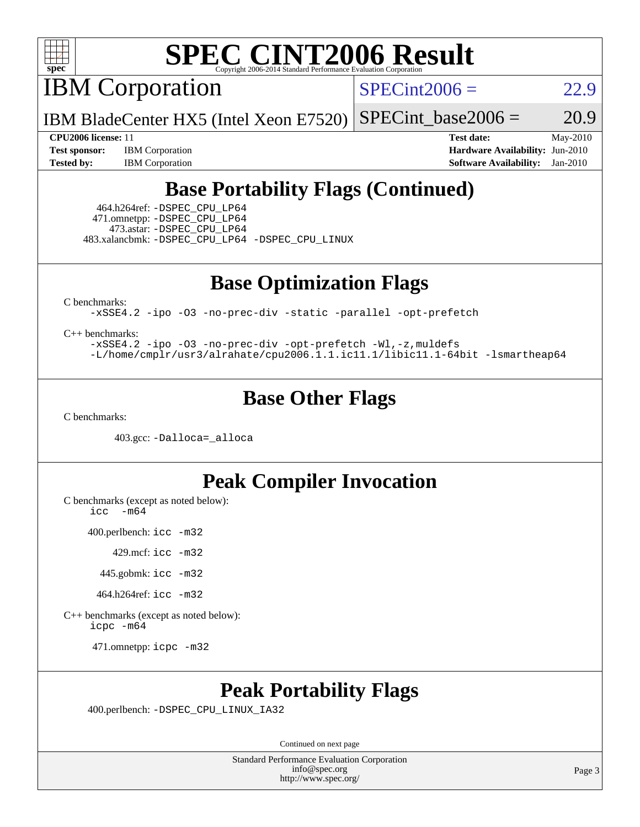

IBM Corporation

 $SPECint2006 = 22.9$  $SPECint2006 = 22.9$ 

IBM BladeCenter HX5 (Intel Xeon E7520) SPECint base2006 =  $20.9$ 

**[CPU2006 license:](http://www.spec.org/auto/cpu2006/Docs/result-fields.html#CPU2006license)** 11 **[Test date:](http://www.spec.org/auto/cpu2006/Docs/result-fields.html#Testdate)** May-2010 **[Test sponsor:](http://www.spec.org/auto/cpu2006/Docs/result-fields.html#Testsponsor)** IBM Corporation **[Hardware Availability:](http://www.spec.org/auto/cpu2006/Docs/result-fields.html#HardwareAvailability)** Jun-2010 **[Tested by:](http://www.spec.org/auto/cpu2006/Docs/result-fields.html#Testedby)** IBM Corporation **[Software Availability:](http://www.spec.org/auto/cpu2006/Docs/result-fields.html#SoftwareAvailability)** Jan-2010

### **[Base Portability Flags \(Continued\)](http://www.spec.org/auto/cpu2006/Docs/result-fields.html#BasePortabilityFlags)**

 464.h264ref: [-DSPEC\\_CPU\\_LP64](http://www.spec.org/cpu2006/results/res2010q3/cpu2006-20100914-13305.flags.html#suite_basePORTABILITY464_h264ref_DSPEC_CPU_LP64) 471.omnetpp: [-DSPEC\\_CPU\\_LP64](http://www.spec.org/cpu2006/results/res2010q3/cpu2006-20100914-13305.flags.html#suite_basePORTABILITY471_omnetpp_DSPEC_CPU_LP64) 473.astar: [-DSPEC\\_CPU\\_LP64](http://www.spec.org/cpu2006/results/res2010q3/cpu2006-20100914-13305.flags.html#suite_basePORTABILITY473_astar_DSPEC_CPU_LP64) 483.xalancbmk: [-DSPEC\\_CPU\\_LP64](http://www.spec.org/cpu2006/results/res2010q3/cpu2006-20100914-13305.flags.html#suite_basePORTABILITY483_xalancbmk_DSPEC_CPU_LP64) [-DSPEC\\_CPU\\_LINUX](http://www.spec.org/cpu2006/results/res2010q3/cpu2006-20100914-13305.flags.html#b483.xalancbmk_baseCXXPORTABILITY_DSPEC_CPU_LINUX)

**[Base Optimization Flags](http://www.spec.org/auto/cpu2006/Docs/result-fields.html#BaseOptimizationFlags)**

[C benchmarks](http://www.spec.org/auto/cpu2006/Docs/result-fields.html#Cbenchmarks):

[-xSSE4.2](http://www.spec.org/cpu2006/results/res2010q3/cpu2006-20100914-13305.flags.html#user_CCbase_f-xSSE42_f91528193cf0b216347adb8b939d4107) [-ipo](http://www.spec.org/cpu2006/results/res2010q3/cpu2006-20100914-13305.flags.html#user_CCbase_f-ipo) [-O3](http://www.spec.org/cpu2006/results/res2010q3/cpu2006-20100914-13305.flags.html#user_CCbase_f-O3) [-no-prec-div](http://www.spec.org/cpu2006/results/res2010q3/cpu2006-20100914-13305.flags.html#user_CCbase_f-no-prec-div) [-static](http://www.spec.org/cpu2006/results/res2010q3/cpu2006-20100914-13305.flags.html#user_CCbase_f-static) [-parallel](http://www.spec.org/cpu2006/results/res2010q3/cpu2006-20100914-13305.flags.html#user_CCbase_f-parallel) [-opt-prefetch](http://www.spec.org/cpu2006/results/res2010q3/cpu2006-20100914-13305.flags.html#user_CCbase_f-opt-prefetch)

[C++ benchmarks:](http://www.spec.org/auto/cpu2006/Docs/result-fields.html#CXXbenchmarks)

[-xSSE4.2](http://www.spec.org/cpu2006/results/res2010q3/cpu2006-20100914-13305.flags.html#user_CXXbase_f-xSSE42_f91528193cf0b216347adb8b939d4107) [-ipo](http://www.spec.org/cpu2006/results/res2010q3/cpu2006-20100914-13305.flags.html#user_CXXbase_f-ipo) [-O3](http://www.spec.org/cpu2006/results/res2010q3/cpu2006-20100914-13305.flags.html#user_CXXbase_f-O3) [-no-prec-div](http://www.spec.org/cpu2006/results/res2010q3/cpu2006-20100914-13305.flags.html#user_CXXbase_f-no-prec-div) [-opt-prefetch](http://www.spec.org/cpu2006/results/res2010q3/cpu2006-20100914-13305.flags.html#user_CXXbase_f-opt-prefetch) [-Wl,-z,muldefs](http://www.spec.org/cpu2006/results/res2010q3/cpu2006-20100914-13305.flags.html#user_CXXbase_link_force_multiple1_74079c344b956b9658436fd1b6dd3a8a) [-L/home/cmplr/usr3/alrahate/cpu2006.1.1.ic11.1/libic11.1-64bit -lsmartheap64](http://www.spec.org/cpu2006/results/res2010q3/cpu2006-20100914-13305.flags.html#user_CXXbase_SmartHeap64_e2306cda84805d1ab360117a79ff779c)

#### **[Base Other Flags](http://www.spec.org/auto/cpu2006/Docs/result-fields.html#BaseOtherFlags)**

[C benchmarks](http://www.spec.org/auto/cpu2006/Docs/result-fields.html#Cbenchmarks):

403.gcc: [-Dalloca=\\_alloca](http://www.spec.org/cpu2006/results/res2010q3/cpu2006-20100914-13305.flags.html#b403.gcc_baseEXTRA_CFLAGS_Dalloca_be3056838c12de2578596ca5467af7f3)

#### **[Peak Compiler Invocation](http://www.spec.org/auto/cpu2006/Docs/result-fields.html#PeakCompilerInvocation)**

[C benchmarks \(except as noted below\)](http://www.spec.org/auto/cpu2006/Docs/result-fields.html#Cbenchmarksexceptasnotedbelow):  $\text{icc}$  -m64

400.perlbench: [icc -m32](http://www.spec.org/cpu2006/results/res2010q3/cpu2006-20100914-13305.flags.html#user_peakCCLD400_perlbench_intel_icc_32bit_a6a621f8d50482236b970c6ac5f55f93)

429.mcf: [icc -m32](http://www.spec.org/cpu2006/results/res2010q3/cpu2006-20100914-13305.flags.html#user_peakCCLD429_mcf_intel_icc_32bit_a6a621f8d50482236b970c6ac5f55f93)

445.gobmk: [icc -m32](http://www.spec.org/cpu2006/results/res2010q3/cpu2006-20100914-13305.flags.html#user_peakCCLD445_gobmk_intel_icc_32bit_a6a621f8d50482236b970c6ac5f55f93)

464.h264ref: [icc -m32](http://www.spec.org/cpu2006/results/res2010q3/cpu2006-20100914-13305.flags.html#user_peakCCLD464_h264ref_intel_icc_32bit_a6a621f8d50482236b970c6ac5f55f93)

[C++ benchmarks \(except as noted below\):](http://www.spec.org/auto/cpu2006/Docs/result-fields.html#CXXbenchmarksexceptasnotedbelow) [icpc -m64](http://www.spec.org/cpu2006/results/res2010q3/cpu2006-20100914-13305.flags.html#user_CXXpeak_intel_icpc_64bit_fc66a5337ce925472a5c54ad6a0de310)

471.omnetpp: [icpc -m32](http://www.spec.org/cpu2006/results/res2010q3/cpu2006-20100914-13305.flags.html#user_peakCXXLD471_omnetpp_intel_icpc_32bit_4e5a5ef1a53fd332b3c49e69c3330699)

#### **[Peak Portability Flags](http://www.spec.org/auto/cpu2006/Docs/result-fields.html#PeakPortabilityFlags)**

400.perlbench: [-DSPEC\\_CPU\\_LINUX\\_IA32](http://www.spec.org/cpu2006/results/res2010q3/cpu2006-20100914-13305.flags.html#b400.perlbench_peakCPORTABILITY_DSPEC_CPU_LINUX_IA32)

Continued on next page

Standard Performance Evaluation Corporation [info@spec.org](mailto:info@spec.org) <http://www.spec.org/>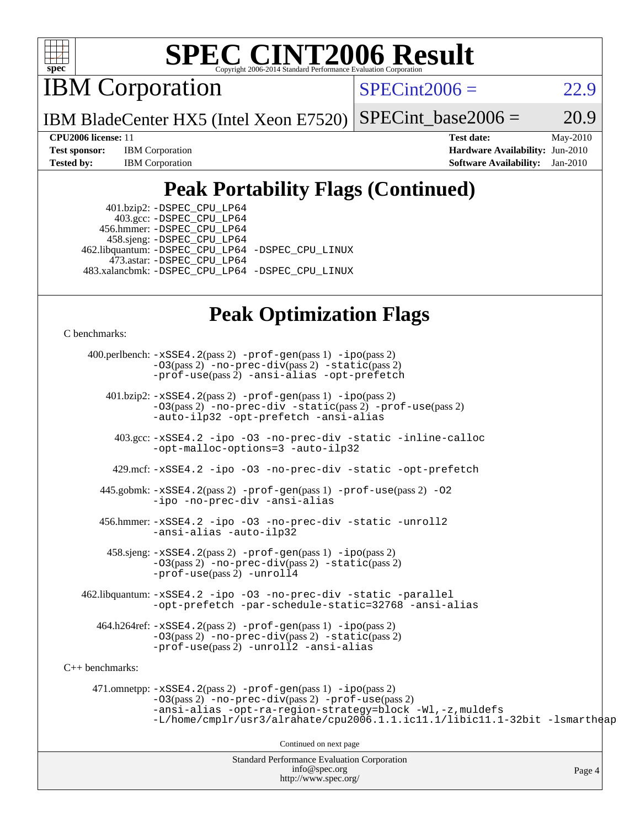

IBM Corporation

 $SPECint2006 = 22.9$  $SPECint2006 = 22.9$ 

IBM BladeCenter HX5 (Intel Xeon E7520) SPECint base2006 =  $20.9$ 

**[Test sponsor:](http://www.spec.org/auto/cpu2006/Docs/result-fields.html#Testsponsor)** IBM Corporation **[Hardware Availability:](http://www.spec.org/auto/cpu2006/Docs/result-fields.html#HardwareAvailability)** Jun-2010

**[CPU2006 license:](http://www.spec.org/auto/cpu2006/Docs/result-fields.html#CPU2006license)** 11 **[Test date:](http://www.spec.org/auto/cpu2006/Docs/result-fields.html#Testdate)** May-2010 **[Tested by:](http://www.spec.org/auto/cpu2006/Docs/result-fields.html#Testedby)** IBM Corporation **[Software Availability:](http://www.spec.org/auto/cpu2006/Docs/result-fields.html#SoftwareAvailability)** Jan-2010

### **[Peak Portability Flags \(Continued\)](http://www.spec.org/auto/cpu2006/Docs/result-fields.html#PeakPortabilityFlags)**

 401.bzip2: [-DSPEC\\_CPU\\_LP64](http://www.spec.org/cpu2006/results/res2010q3/cpu2006-20100914-13305.flags.html#suite_peakPORTABILITY401_bzip2_DSPEC_CPU_LP64) 403.gcc: [-DSPEC\\_CPU\\_LP64](http://www.spec.org/cpu2006/results/res2010q3/cpu2006-20100914-13305.flags.html#suite_peakPORTABILITY403_gcc_DSPEC_CPU_LP64) 456.hmmer: [-DSPEC\\_CPU\\_LP64](http://www.spec.org/cpu2006/results/res2010q3/cpu2006-20100914-13305.flags.html#suite_peakPORTABILITY456_hmmer_DSPEC_CPU_LP64) 458.sjeng: [-DSPEC\\_CPU\\_LP64](http://www.spec.org/cpu2006/results/res2010q3/cpu2006-20100914-13305.flags.html#suite_peakPORTABILITY458_sjeng_DSPEC_CPU_LP64) 462.libquantum: [-DSPEC\\_CPU\\_LP64](http://www.spec.org/cpu2006/results/res2010q3/cpu2006-20100914-13305.flags.html#suite_peakPORTABILITY462_libquantum_DSPEC_CPU_LP64) [-DSPEC\\_CPU\\_LINUX](http://www.spec.org/cpu2006/results/res2010q3/cpu2006-20100914-13305.flags.html#b462.libquantum_peakCPORTABILITY_DSPEC_CPU_LINUX) 473.astar: [-DSPEC\\_CPU\\_LP64](http://www.spec.org/cpu2006/results/res2010q3/cpu2006-20100914-13305.flags.html#suite_peakPORTABILITY473_astar_DSPEC_CPU_LP64) 483.xalancbmk: [-DSPEC\\_CPU\\_LP64](http://www.spec.org/cpu2006/results/res2010q3/cpu2006-20100914-13305.flags.html#suite_peakPORTABILITY483_xalancbmk_DSPEC_CPU_LP64) [-DSPEC\\_CPU\\_LINUX](http://www.spec.org/cpu2006/results/res2010q3/cpu2006-20100914-13305.flags.html#b483.xalancbmk_peakCXXPORTABILITY_DSPEC_CPU_LINUX)

#### **[Peak Optimization Flags](http://www.spec.org/auto/cpu2006/Docs/result-fields.html#PeakOptimizationFlags)**

[C benchmarks](http://www.spec.org/auto/cpu2006/Docs/result-fields.html#Cbenchmarks):

Standard Performance Evaluation Corporation 400.perlbench: [-xSSE4.2](http://www.spec.org/cpu2006/results/res2010q3/cpu2006-20100914-13305.flags.html#user_peakPASS2_CFLAGSPASS2_LDCFLAGS400_perlbench_f-xSSE42_f91528193cf0b216347adb8b939d4107)(pass 2) [-prof-gen](http://www.spec.org/cpu2006/results/res2010q3/cpu2006-20100914-13305.flags.html#user_peakPASS1_CFLAGSPASS1_LDCFLAGS400_perlbench_prof_gen_e43856698f6ca7b7e442dfd80e94a8fc)(pass 1) [-ipo](http://www.spec.org/cpu2006/results/res2010q3/cpu2006-20100914-13305.flags.html#user_peakPASS2_CFLAGSPASS2_LDCFLAGS400_perlbench_f-ipo)(pass 2) [-O3](http://www.spec.org/cpu2006/results/res2010q3/cpu2006-20100914-13305.flags.html#user_peakPASS2_CFLAGSPASS2_LDCFLAGS400_perlbench_f-O3)(pass 2) [-no-prec-div](http://www.spec.org/cpu2006/results/res2010q3/cpu2006-20100914-13305.flags.html#user_peakPASS2_CFLAGSPASS2_LDCFLAGS400_perlbench_f-no-prec-div)(pass 2) [-static](http://www.spec.org/cpu2006/results/res2010q3/cpu2006-20100914-13305.flags.html#user_peakPASS2_CFLAGSPASS2_LDCFLAGS400_perlbench_f-static)(pass 2) [-prof-use](http://www.spec.org/cpu2006/results/res2010q3/cpu2006-20100914-13305.flags.html#user_peakPASS2_CFLAGSPASS2_LDCFLAGS400_perlbench_prof_use_bccf7792157ff70d64e32fe3e1250b55)(pass 2) [-ansi-alias](http://www.spec.org/cpu2006/results/res2010q3/cpu2006-20100914-13305.flags.html#user_peakCOPTIMIZE400_perlbench_f-ansi-alias) [-opt-prefetch](http://www.spec.org/cpu2006/results/res2010q3/cpu2006-20100914-13305.flags.html#user_peakCOPTIMIZE400_perlbench_f-opt-prefetch) 401.bzip2: [-xSSE4.2](http://www.spec.org/cpu2006/results/res2010q3/cpu2006-20100914-13305.flags.html#user_peakPASS2_CFLAGSPASS2_LDCFLAGS401_bzip2_f-xSSE42_f91528193cf0b216347adb8b939d4107)(pass 2) [-prof-gen](http://www.spec.org/cpu2006/results/res2010q3/cpu2006-20100914-13305.flags.html#user_peakPASS1_CFLAGSPASS1_LDCFLAGS401_bzip2_prof_gen_e43856698f6ca7b7e442dfd80e94a8fc)(pass 1) [-ipo](http://www.spec.org/cpu2006/results/res2010q3/cpu2006-20100914-13305.flags.html#user_peakPASS2_CFLAGSPASS2_LDCFLAGS401_bzip2_f-ipo)(pass 2) [-O3](http://www.spec.org/cpu2006/results/res2010q3/cpu2006-20100914-13305.flags.html#user_peakPASS2_CFLAGSPASS2_LDCFLAGS401_bzip2_f-O3)(pass 2) [-no-prec-div](http://www.spec.org/cpu2006/results/res2010q3/cpu2006-20100914-13305.flags.html#user_peakCOPTIMIZEPASS2_CFLAGSPASS2_LDCFLAGS401_bzip2_f-no-prec-div) [-static](http://www.spec.org/cpu2006/results/res2010q3/cpu2006-20100914-13305.flags.html#user_peakPASS2_CFLAGSPASS2_LDCFLAGS401_bzip2_f-static)(pass 2) [-prof-use](http://www.spec.org/cpu2006/results/res2010q3/cpu2006-20100914-13305.flags.html#user_peakPASS2_CFLAGSPASS2_LDCFLAGS401_bzip2_prof_use_bccf7792157ff70d64e32fe3e1250b55)(pass 2) [-auto-ilp32](http://www.spec.org/cpu2006/results/res2010q3/cpu2006-20100914-13305.flags.html#user_peakCOPTIMIZE401_bzip2_f-auto-ilp32) [-opt-prefetch](http://www.spec.org/cpu2006/results/res2010q3/cpu2006-20100914-13305.flags.html#user_peakCOPTIMIZE401_bzip2_f-opt-prefetch) [-ansi-alias](http://www.spec.org/cpu2006/results/res2010q3/cpu2006-20100914-13305.flags.html#user_peakCOPTIMIZE401_bzip2_f-ansi-alias) 403.gcc: [-xSSE4.2](http://www.spec.org/cpu2006/results/res2010q3/cpu2006-20100914-13305.flags.html#user_peakCOPTIMIZE403_gcc_f-xSSE42_f91528193cf0b216347adb8b939d4107) [-ipo](http://www.spec.org/cpu2006/results/res2010q3/cpu2006-20100914-13305.flags.html#user_peakCOPTIMIZE403_gcc_f-ipo) [-O3](http://www.spec.org/cpu2006/results/res2010q3/cpu2006-20100914-13305.flags.html#user_peakCOPTIMIZE403_gcc_f-O3) [-no-prec-div](http://www.spec.org/cpu2006/results/res2010q3/cpu2006-20100914-13305.flags.html#user_peakCOPTIMIZE403_gcc_f-no-prec-div) [-static](http://www.spec.org/cpu2006/results/res2010q3/cpu2006-20100914-13305.flags.html#user_peakCOPTIMIZE403_gcc_f-static) [-inline-calloc](http://www.spec.org/cpu2006/results/res2010q3/cpu2006-20100914-13305.flags.html#user_peakCOPTIMIZE403_gcc_f-inline-calloc) [-opt-malloc-options=3](http://www.spec.org/cpu2006/results/res2010q3/cpu2006-20100914-13305.flags.html#user_peakCOPTIMIZE403_gcc_f-opt-malloc-options_13ab9b803cf986b4ee62f0a5998c2238) [-auto-ilp32](http://www.spec.org/cpu2006/results/res2010q3/cpu2006-20100914-13305.flags.html#user_peakCOPTIMIZE403_gcc_f-auto-ilp32) 429.mcf: [-xSSE4.2](http://www.spec.org/cpu2006/results/res2010q3/cpu2006-20100914-13305.flags.html#user_peakCOPTIMIZE429_mcf_f-xSSE42_f91528193cf0b216347adb8b939d4107) [-ipo](http://www.spec.org/cpu2006/results/res2010q3/cpu2006-20100914-13305.flags.html#user_peakCOPTIMIZE429_mcf_f-ipo) [-O3](http://www.spec.org/cpu2006/results/res2010q3/cpu2006-20100914-13305.flags.html#user_peakCOPTIMIZE429_mcf_f-O3) [-no-prec-div](http://www.spec.org/cpu2006/results/res2010q3/cpu2006-20100914-13305.flags.html#user_peakCOPTIMIZE429_mcf_f-no-prec-div) [-static](http://www.spec.org/cpu2006/results/res2010q3/cpu2006-20100914-13305.flags.html#user_peakCOPTIMIZE429_mcf_f-static) [-opt-prefetch](http://www.spec.org/cpu2006/results/res2010q3/cpu2006-20100914-13305.flags.html#user_peakCOPTIMIZE429_mcf_f-opt-prefetch) 445.gobmk: [-xSSE4.2](http://www.spec.org/cpu2006/results/res2010q3/cpu2006-20100914-13305.flags.html#user_peakPASS2_CFLAGSPASS2_LDCFLAGS445_gobmk_f-xSSE42_f91528193cf0b216347adb8b939d4107)(pass 2) [-prof-gen](http://www.spec.org/cpu2006/results/res2010q3/cpu2006-20100914-13305.flags.html#user_peakPASS1_CFLAGSPASS1_LDCFLAGS445_gobmk_prof_gen_e43856698f6ca7b7e442dfd80e94a8fc)(pass 1) [-prof-use](http://www.spec.org/cpu2006/results/res2010q3/cpu2006-20100914-13305.flags.html#user_peakPASS2_CFLAGSPASS2_LDCFLAGS445_gobmk_prof_use_bccf7792157ff70d64e32fe3e1250b55)(pass 2) [-O2](http://www.spec.org/cpu2006/results/res2010q3/cpu2006-20100914-13305.flags.html#user_peakCOPTIMIZE445_gobmk_f-O2) [-ipo](http://www.spec.org/cpu2006/results/res2010q3/cpu2006-20100914-13305.flags.html#user_peakCOPTIMIZE445_gobmk_f-ipo) [-no-prec-div](http://www.spec.org/cpu2006/results/res2010q3/cpu2006-20100914-13305.flags.html#user_peakCOPTIMIZE445_gobmk_f-no-prec-div) [-ansi-alias](http://www.spec.org/cpu2006/results/res2010q3/cpu2006-20100914-13305.flags.html#user_peakCOPTIMIZE445_gobmk_f-ansi-alias) 456.hmmer: [-xSSE4.2](http://www.spec.org/cpu2006/results/res2010q3/cpu2006-20100914-13305.flags.html#user_peakCOPTIMIZE456_hmmer_f-xSSE42_f91528193cf0b216347adb8b939d4107) [-ipo](http://www.spec.org/cpu2006/results/res2010q3/cpu2006-20100914-13305.flags.html#user_peakCOPTIMIZE456_hmmer_f-ipo) [-O3](http://www.spec.org/cpu2006/results/res2010q3/cpu2006-20100914-13305.flags.html#user_peakCOPTIMIZE456_hmmer_f-O3) [-no-prec-div](http://www.spec.org/cpu2006/results/res2010q3/cpu2006-20100914-13305.flags.html#user_peakCOPTIMIZE456_hmmer_f-no-prec-div) [-static](http://www.spec.org/cpu2006/results/res2010q3/cpu2006-20100914-13305.flags.html#user_peakCOPTIMIZE456_hmmer_f-static) [-unroll2](http://www.spec.org/cpu2006/results/res2010q3/cpu2006-20100914-13305.flags.html#user_peakCOPTIMIZE456_hmmer_f-unroll_784dae83bebfb236979b41d2422d7ec2) [-ansi-alias](http://www.spec.org/cpu2006/results/res2010q3/cpu2006-20100914-13305.flags.html#user_peakCOPTIMIZE456_hmmer_f-ansi-alias) [-auto-ilp32](http://www.spec.org/cpu2006/results/res2010q3/cpu2006-20100914-13305.flags.html#user_peakCOPTIMIZE456_hmmer_f-auto-ilp32) 458.sjeng: [-xSSE4.2](http://www.spec.org/cpu2006/results/res2010q3/cpu2006-20100914-13305.flags.html#user_peakPASS2_CFLAGSPASS2_LDCFLAGS458_sjeng_f-xSSE42_f91528193cf0b216347adb8b939d4107)(pass 2) [-prof-gen](http://www.spec.org/cpu2006/results/res2010q3/cpu2006-20100914-13305.flags.html#user_peakPASS1_CFLAGSPASS1_LDCFLAGS458_sjeng_prof_gen_e43856698f6ca7b7e442dfd80e94a8fc)(pass 1) [-ipo](http://www.spec.org/cpu2006/results/res2010q3/cpu2006-20100914-13305.flags.html#user_peakPASS2_CFLAGSPASS2_LDCFLAGS458_sjeng_f-ipo)(pass 2) [-O3](http://www.spec.org/cpu2006/results/res2010q3/cpu2006-20100914-13305.flags.html#user_peakPASS2_CFLAGSPASS2_LDCFLAGS458_sjeng_f-O3)(pass 2) [-no-prec-div](http://www.spec.org/cpu2006/results/res2010q3/cpu2006-20100914-13305.flags.html#user_peakPASS2_CFLAGSPASS2_LDCFLAGS458_sjeng_f-no-prec-div)(pass 2) [-static](http://www.spec.org/cpu2006/results/res2010q3/cpu2006-20100914-13305.flags.html#user_peakPASS2_CFLAGSPASS2_LDCFLAGS458_sjeng_f-static)(pass 2) [-prof-use](http://www.spec.org/cpu2006/results/res2010q3/cpu2006-20100914-13305.flags.html#user_peakPASS2_CFLAGSPASS2_LDCFLAGS458_sjeng_prof_use_bccf7792157ff70d64e32fe3e1250b55)(pass 2) [-unroll4](http://www.spec.org/cpu2006/results/res2010q3/cpu2006-20100914-13305.flags.html#user_peakCOPTIMIZE458_sjeng_f-unroll_4e5e4ed65b7fd20bdcd365bec371b81f) 462.libquantum: [-xSSE4.2](http://www.spec.org/cpu2006/results/res2010q3/cpu2006-20100914-13305.flags.html#user_peakCOPTIMIZE462_libquantum_f-xSSE42_f91528193cf0b216347adb8b939d4107) [-ipo](http://www.spec.org/cpu2006/results/res2010q3/cpu2006-20100914-13305.flags.html#user_peakCOPTIMIZE462_libquantum_f-ipo) [-O3](http://www.spec.org/cpu2006/results/res2010q3/cpu2006-20100914-13305.flags.html#user_peakCOPTIMIZE462_libquantum_f-O3) [-no-prec-div](http://www.spec.org/cpu2006/results/res2010q3/cpu2006-20100914-13305.flags.html#user_peakCOPTIMIZE462_libquantum_f-no-prec-div) [-static](http://www.spec.org/cpu2006/results/res2010q3/cpu2006-20100914-13305.flags.html#user_peakCOPTIMIZE462_libquantum_f-static) [-parallel](http://www.spec.org/cpu2006/results/res2010q3/cpu2006-20100914-13305.flags.html#user_peakCOPTIMIZE462_libquantum_f-parallel) [-opt-prefetch](http://www.spec.org/cpu2006/results/res2010q3/cpu2006-20100914-13305.flags.html#user_peakCOPTIMIZE462_libquantum_f-opt-prefetch) [-par-schedule-static=32768](http://www.spec.org/cpu2006/results/res2010q3/cpu2006-20100914-13305.flags.html#user_peakCOPTIMIZE462_libquantum_f-par-schedule_9386bcd99ba64e99ee01d1aafefddd14) [-ansi-alias](http://www.spec.org/cpu2006/results/res2010q3/cpu2006-20100914-13305.flags.html#user_peakCOPTIMIZE462_libquantum_f-ansi-alias) 464.h264ref: [-xSSE4.2](http://www.spec.org/cpu2006/results/res2010q3/cpu2006-20100914-13305.flags.html#user_peakPASS2_CFLAGSPASS2_LDCFLAGS464_h264ref_f-xSSE42_f91528193cf0b216347adb8b939d4107)(pass 2) [-prof-gen](http://www.spec.org/cpu2006/results/res2010q3/cpu2006-20100914-13305.flags.html#user_peakPASS1_CFLAGSPASS1_LDCFLAGS464_h264ref_prof_gen_e43856698f6ca7b7e442dfd80e94a8fc)(pass 1) [-ipo](http://www.spec.org/cpu2006/results/res2010q3/cpu2006-20100914-13305.flags.html#user_peakPASS2_CFLAGSPASS2_LDCFLAGS464_h264ref_f-ipo)(pass 2) [-O3](http://www.spec.org/cpu2006/results/res2010q3/cpu2006-20100914-13305.flags.html#user_peakPASS2_CFLAGSPASS2_LDCFLAGS464_h264ref_f-O3)(pass 2) [-no-prec-div](http://www.spec.org/cpu2006/results/res2010q3/cpu2006-20100914-13305.flags.html#user_peakPASS2_CFLAGSPASS2_LDCFLAGS464_h264ref_f-no-prec-div)(pass 2) [-static](http://www.spec.org/cpu2006/results/res2010q3/cpu2006-20100914-13305.flags.html#user_peakPASS2_CFLAGSPASS2_LDCFLAGS464_h264ref_f-static)(pass 2) [-prof-use](http://www.spec.org/cpu2006/results/res2010q3/cpu2006-20100914-13305.flags.html#user_peakPASS2_CFLAGSPASS2_LDCFLAGS464_h264ref_prof_use_bccf7792157ff70d64e32fe3e1250b55)(pass 2) [-unroll2](http://www.spec.org/cpu2006/results/res2010q3/cpu2006-20100914-13305.flags.html#user_peakCOPTIMIZE464_h264ref_f-unroll_784dae83bebfb236979b41d2422d7ec2) [-ansi-alias](http://www.spec.org/cpu2006/results/res2010q3/cpu2006-20100914-13305.flags.html#user_peakCOPTIMIZE464_h264ref_f-ansi-alias) [C++ benchmarks:](http://www.spec.org/auto/cpu2006/Docs/result-fields.html#CXXbenchmarks) 471.omnetpp: [-xSSE4.2](http://www.spec.org/cpu2006/results/res2010q3/cpu2006-20100914-13305.flags.html#user_peakPASS2_CXXFLAGSPASS2_LDCXXFLAGS471_omnetpp_f-xSSE42_f91528193cf0b216347adb8b939d4107)(pass 2) [-prof-gen](http://www.spec.org/cpu2006/results/res2010q3/cpu2006-20100914-13305.flags.html#user_peakPASS1_CXXFLAGSPASS1_LDCXXFLAGS471_omnetpp_prof_gen_e43856698f6ca7b7e442dfd80e94a8fc)(pass 1) [-ipo](http://www.spec.org/cpu2006/results/res2010q3/cpu2006-20100914-13305.flags.html#user_peakPASS2_CXXFLAGSPASS2_LDCXXFLAGS471_omnetpp_f-ipo)(pass 2) [-O3](http://www.spec.org/cpu2006/results/res2010q3/cpu2006-20100914-13305.flags.html#user_peakPASS2_CXXFLAGSPASS2_LDCXXFLAGS471_omnetpp_f-O3)(pass 2) [-no-prec-div](http://www.spec.org/cpu2006/results/res2010q3/cpu2006-20100914-13305.flags.html#user_peakPASS2_CXXFLAGSPASS2_LDCXXFLAGS471_omnetpp_f-no-prec-div)(pass 2) [-prof-use](http://www.spec.org/cpu2006/results/res2010q3/cpu2006-20100914-13305.flags.html#user_peakPASS2_CXXFLAGSPASS2_LDCXXFLAGS471_omnetpp_prof_use_bccf7792157ff70d64e32fe3e1250b55)(pass 2) [-ansi-alias](http://www.spec.org/cpu2006/results/res2010q3/cpu2006-20100914-13305.flags.html#user_peakCXXOPTIMIZE471_omnetpp_f-ansi-alias) [-opt-ra-region-strategy=block](http://www.spec.org/cpu2006/results/res2010q3/cpu2006-20100914-13305.flags.html#user_peakCXXOPTIMIZE471_omnetpp_f-opt-ra-region-strategy-block_a0a37c372d03933b2a18d4af463c1f69) [-Wl,-z,muldefs](http://www.spec.org/cpu2006/results/res2010q3/cpu2006-20100914-13305.flags.html#user_peakEXTRA_LDFLAGS471_omnetpp_link_force_multiple1_74079c344b956b9658436fd1b6dd3a8a) [-L/home/cmplr/usr3/alrahate/cpu2006.1.1.ic11.1/libic11.1-32bit -lsmartheap](http://www.spec.org/cpu2006/results/res2010q3/cpu2006-20100914-13305.flags.html#user_peakEXTRA_LIBS471_omnetpp_SmartHeap_d86dffe4a79b79ef8890d5cce17030c3) Continued on next page